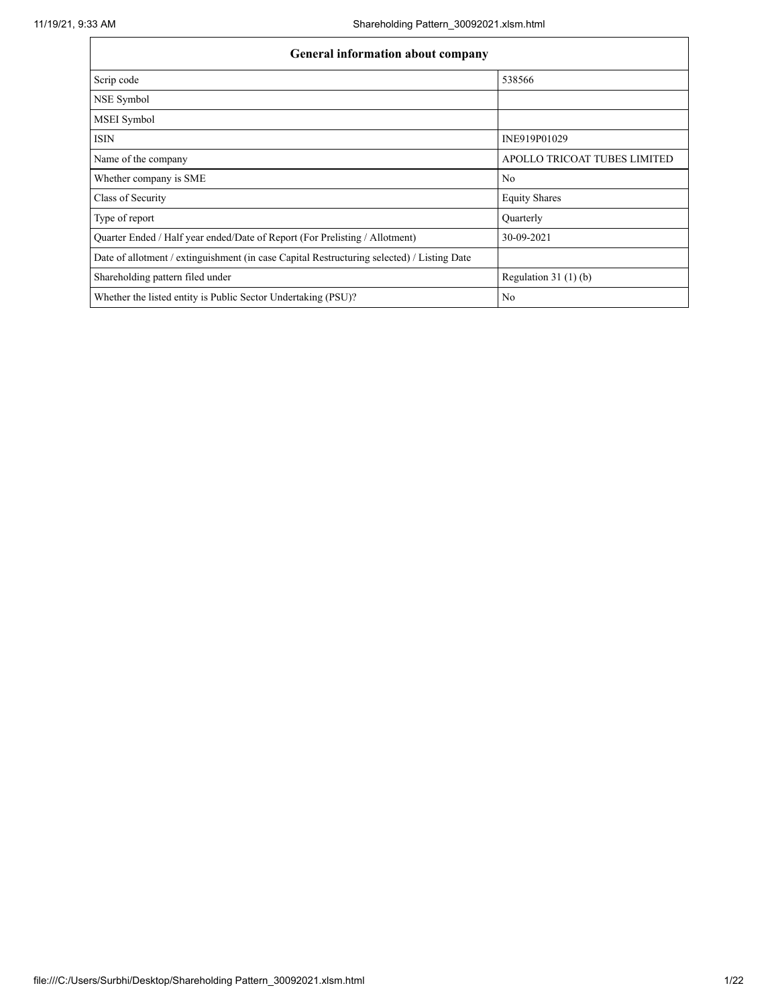| <b>General information about company</b>                                                   |                              |  |  |  |  |  |
|--------------------------------------------------------------------------------------------|------------------------------|--|--|--|--|--|
| Scrip code                                                                                 | 538566                       |  |  |  |  |  |
| NSE Symbol                                                                                 |                              |  |  |  |  |  |
| MSEI Symbol                                                                                |                              |  |  |  |  |  |
| <b>ISIN</b>                                                                                | INE919P01029                 |  |  |  |  |  |
| Name of the company                                                                        | APOLLO TRICOAT TUBES LIMITED |  |  |  |  |  |
| Whether company is SME                                                                     | No                           |  |  |  |  |  |
| Class of Security                                                                          | <b>Equity Shares</b>         |  |  |  |  |  |
| Type of report                                                                             | Quarterly                    |  |  |  |  |  |
| Quarter Ended / Half year ended/Date of Report (For Prelisting / Allotment)                | 30-09-2021                   |  |  |  |  |  |
| Date of allotment / extinguishment (in case Capital Restructuring selected) / Listing Date |                              |  |  |  |  |  |
| Shareholding pattern filed under                                                           | Regulation $31(1)(b)$        |  |  |  |  |  |
| Whether the listed entity is Public Sector Undertaking (PSU)?                              | No                           |  |  |  |  |  |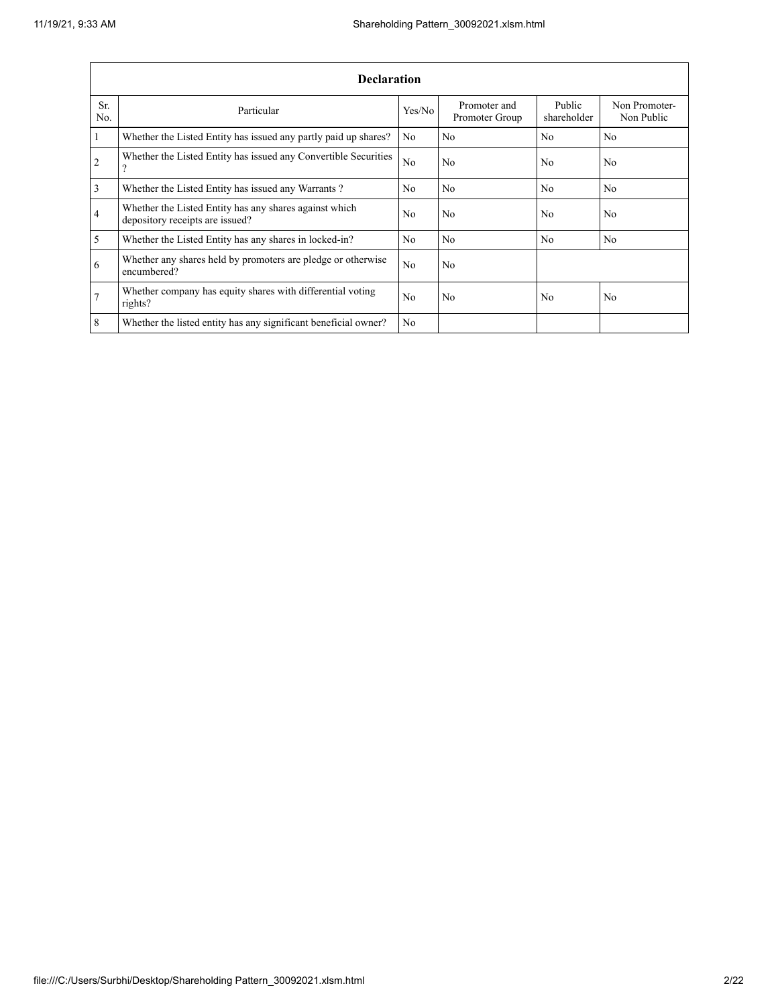|                | <b>Declaration</b>                                                                          |        |                                |                       |                             |  |  |  |  |
|----------------|---------------------------------------------------------------------------------------------|--------|--------------------------------|-----------------------|-----------------------------|--|--|--|--|
| Sr.<br>No.     | Particular                                                                                  | Yes/No | Promoter and<br>Promoter Group | Public<br>shareholder | Non Promoter-<br>Non Public |  |  |  |  |
| $\overline{1}$ | Whether the Listed Entity has issued any partly paid up shares?                             | No     | No                             | No                    | N <sub>0</sub>              |  |  |  |  |
| $\overline{2}$ | Whether the Listed Entity has issued any Convertible Securities<br>$\overline{\mathcal{L}}$ | No.    | No                             | No                    | No                          |  |  |  |  |
| $\overline{3}$ | Whether the Listed Entity has issued any Warrants?                                          | No.    | No                             | N <sub>0</sub>        | N <sub>0</sub>              |  |  |  |  |
| $\overline{4}$ | Whether the Listed Entity has any shares against which<br>depository receipts are issued?   | No     | No                             | No                    | No                          |  |  |  |  |
| $\overline{5}$ | Whether the Listed Entity has any shares in locked-in?                                      | No.    | No                             | N <sub>0</sub>        | N <sub>0</sub>              |  |  |  |  |
| 6              | Whether any shares held by promoters are pledge or otherwise<br>encumbered?                 | No     | No                             |                       |                             |  |  |  |  |
| $\overline{7}$ | Whether company has equity shares with differential voting<br>rights?                       | No     | No                             | No                    | No                          |  |  |  |  |
| 8              | Whether the listed entity has any significant beneficial owner?                             | No.    |                                |                       |                             |  |  |  |  |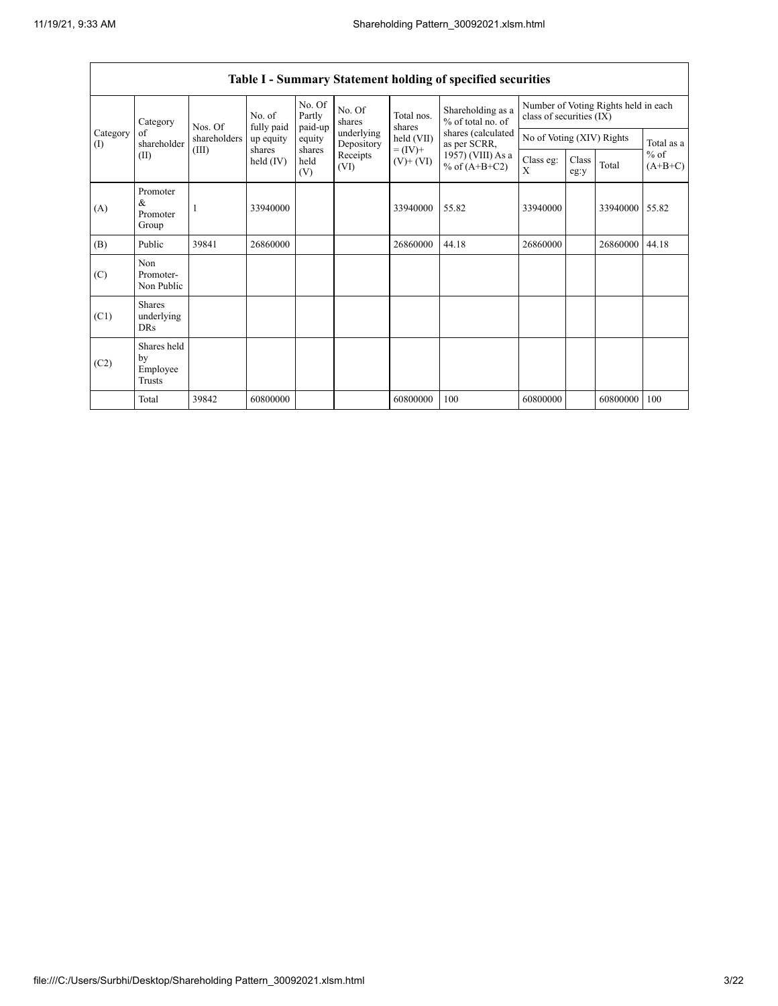|                 | No. Of<br>No. Of<br>Partly<br>Total nos.<br>No. of<br>shares<br>Category<br>fully paid<br>Nos. Of<br>paid-up<br>shares |                                                                                                             | Shareholding as a<br>% of total no. of | Number of Voting Rights held in each<br>class of securities (IX) |                          |            |                                    |                           |  |          |            |
|-----------------|------------------------------------------------------------------------------------------------------------------------|-------------------------------------------------------------------------------------------------------------|----------------------------------------|------------------------------------------------------------------|--------------------------|------------|------------------------------------|---------------------------|--|----------|------------|
| Category<br>(I) | of<br>shareholder                                                                                                      | shareholders                                                                                                | up equity                              | equity                                                           | underlying<br>Depository | held (VII) | shares (calculated<br>as per SCRR, | No of Voting (XIV) Rights |  |          | Total as a |
|                 | (II)                                                                                                                   | $= (IV) +$<br>(III)<br>shares<br>shares<br>Receipts<br>held<br>held $(IV)$<br>$(V)$ + $(VI)$<br>(VI)<br>(V) | 1957) (VIII) As a<br>% of $(A+B+C2)$   | Class eg:<br>X                                                   | Class<br>eg:y            | Total      | $%$ of<br>$(A+B+C)$                |                           |  |          |            |
| (A)             | Promoter<br>&<br>Promoter<br>Group                                                                                     |                                                                                                             | 33940000                               |                                                                  |                          | 33940000   | 55.82                              | 33940000                  |  | 33940000 | 55.82      |
| (B)             | Public                                                                                                                 | 39841                                                                                                       | 26860000                               |                                                                  |                          | 26860000   | 44.18                              | 26860000                  |  | 26860000 | 44.18      |
| (C)             | Non<br>Promoter-<br>Non Public                                                                                         |                                                                                                             |                                        |                                                                  |                          |            |                                    |                           |  |          |            |
| (C1)            | <b>Shares</b><br>underlying<br>DRs                                                                                     |                                                                                                             |                                        |                                                                  |                          |            |                                    |                           |  |          |            |
| (C2)            | Shares held<br>by<br>Employee<br>Trusts                                                                                |                                                                                                             |                                        |                                                                  |                          |            |                                    |                           |  |          |            |
|                 | Total                                                                                                                  | 39842                                                                                                       | 60800000                               |                                                                  |                          | 60800000   | 100                                | 60800000                  |  | 60800000 | 100        |

## **Table I - Summary Statement holding of specified securities**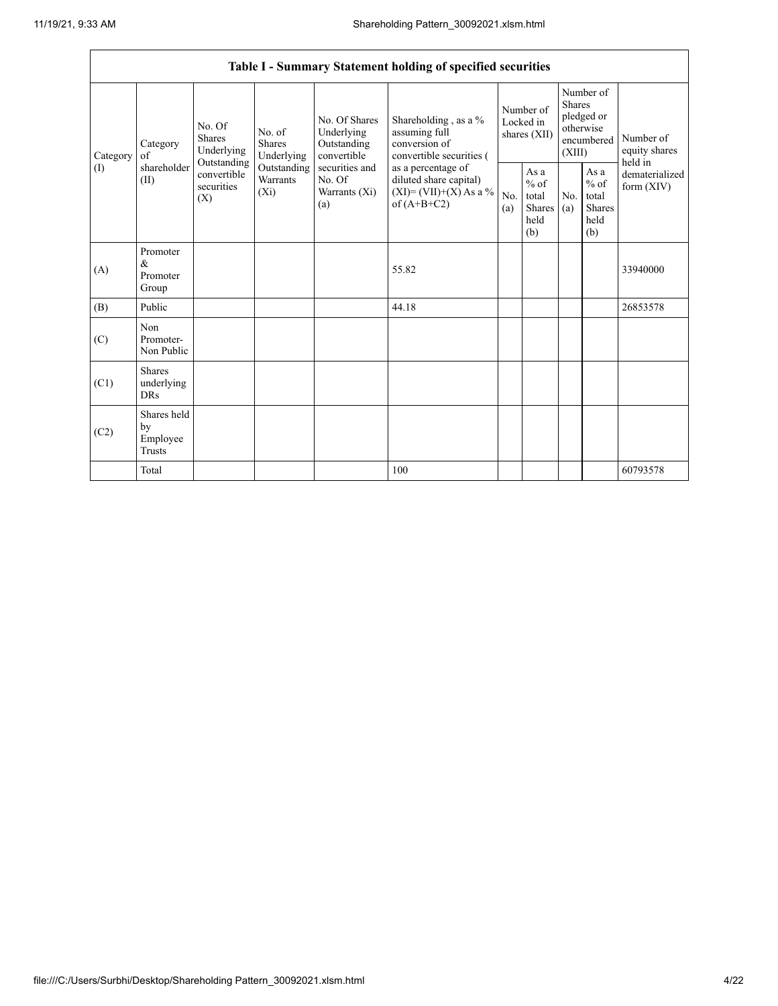| Table I - Summary Statement holding of specified securities |                                           |                                                 |                                                                                                                                                                                      |                                                                                    |                                                  |            |                                                                        |                                         |                            |          |
|-------------------------------------------------------------|-------------------------------------------|-------------------------------------------------|--------------------------------------------------------------------------------------------------------------------------------------------------------------------------------------|------------------------------------------------------------------------------------|--------------------------------------------------|------------|------------------------------------------------------------------------|-----------------------------------------|----------------------------|----------|
| Category<br>Category<br>of                                  | No. Of<br><b>Shares</b><br>Underlying     | No. of<br><b>Shares</b><br>Underlying           | No. Of Shares<br>Underlying<br>Outstanding<br>convertible                                                                                                                            | Shareholding, as a %<br>assuming full<br>conversion of<br>convertible securities ( | Number of<br>Locked in<br>shares (XII)           |            | Number of<br>Shares<br>pledged or<br>otherwise<br>encumbered<br>(XIII) |                                         | Number of<br>equity shares |          |
| (I)                                                         | shareholder<br>(II)                       | Outstanding<br>convertible<br>securities<br>(X) | securities and<br>Outstanding<br>as a percentage of<br>Warrants<br>No. Of<br>diluted share capital)<br>$(XI) = (VII)+(X) As a %$<br>$(X_i)$<br>Warrants (Xi)<br>of $(A+B+C2)$<br>(a) | No.<br>(a)                                                                         | As a<br>$%$ of<br>total<br>Shares<br>held<br>(b) | No.<br>(a) | As a<br>$%$ of<br>total<br><b>Shares</b><br>held<br>(b)                | held in<br>dematerialized<br>form (XIV) |                            |          |
| (A)                                                         | Promoter<br>&<br>Promoter<br>Group        |                                                 |                                                                                                                                                                                      |                                                                                    | 55.82                                            |            |                                                                        |                                         |                            | 33940000 |
| (B)                                                         | Public                                    |                                                 |                                                                                                                                                                                      |                                                                                    | 44.18                                            |            |                                                                        |                                         |                            | 26853578 |
| (C)                                                         | Non<br>Promoter-<br>Non Public            |                                                 |                                                                                                                                                                                      |                                                                                    |                                                  |            |                                                                        |                                         |                            |          |
| (C1)                                                        | <b>Shares</b><br>underlying<br><b>DRs</b> |                                                 |                                                                                                                                                                                      |                                                                                    |                                                  |            |                                                                        |                                         |                            |          |
| (C2)                                                        | Shares held<br>by<br>Employee<br>Trusts   |                                                 |                                                                                                                                                                                      |                                                                                    |                                                  |            |                                                                        |                                         |                            |          |
|                                                             | Total                                     |                                                 |                                                                                                                                                                                      |                                                                                    | 100                                              |            |                                                                        |                                         |                            | 60793578 |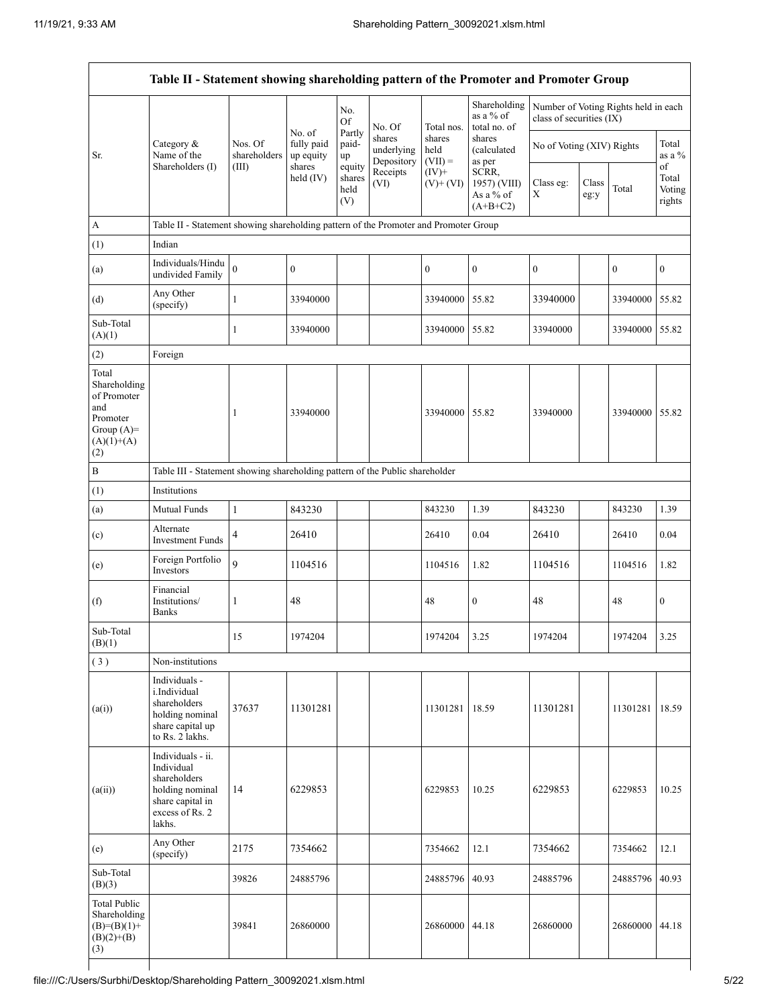|                                                                                                |                                                                                                                     |                         |                                   | No.<br><b>Of</b>                                                                                                                                           | No. Of           | Total nos.                 | Shareholding<br>as a % of<br>total no. of        | Number of Voting Rights held in each<br>class of securities (IX) |               |                  |                                 |
|------------------------------------------------------------------------------------------------|---------------------------------------------------------------------------------------------------------------------|-------------------------|-----------------------------------|------------------------------------------------------------------------------------------------------------------------------------------------------------|------------------|----------------------------|--------------------------------------------------|------------------------------------------------------------------|---------------|------------------|---------------------------------|
| Sr.                                                                                            | Category &<br>Name of the<br>Shareholders (I)                                                                       | Nos. Of<br>shareholders | No. of<br>fully paid<br>up equity | Partly<br>shares<br>shares<br>shares<br>paid-<br>No of Voting (XIV) Rights<br>held<br>(calculated<br>underlying<br>up<br>Depository<br>$(VII) =$<br>as per |                  |                            | Total<br>as a %                                  |                                                                  |               |                  |                                 |
|                                                                                                |                                                                                                                     | (III)                   | shares<br>held $(IV)$             | equity<br>shares<br>held<br>(V)                                                                                                                            | Receipts<br>(VI) | $(IV)$ +<br>$(V)$ + $(VI)$ | SCRR,<br>1957) (VIII)<br>As a % of<br>$(A+B+C2)$ | Class eg:<br>Χ                                                   | Class<br>eg:y | Total            | of<br>Total<br>Voting<br>rights |
| А                                                                                              | Table II - Statement showing shareholding pattern of the Promoter and Promoter Group                                |                         |                                   |                                                                                                                                                            |                  |                            |                                                  |                                                                  |               |                  |                                 |
| (1)                                                                                            | Indian                                                                                                              |                         |                                   |                                                                                                                                                            |                  |                            |                                                  |                                                                  |               |                  |                                 |
| (a)                                                                                            | Individuals/Hindu<br>undivided Family                                                                               | $\mathbf{0}$            | $\mathbf{0}$                      |                                                                                                                                                            |                  | $\boldsymbol{0}$           | $\boldsymbol{0}$                                 | $\boldsymbol{0}$                                                 |               | $\boldsymbol{0}$ | $\boldsymbol{0}$                |
| (d)                                                                                            | Any Other<br>(specify)                                                                                              | $\mathbf{1}$            | 33940000                          |                                                                                                                                                            |                  | 33940000                   | 55.82                                            | 33940000                                                         |               | 33940000         | 55.82                           |
| Sub-Total<br>(A)(1)                                                                            |                                                                                                                     | $\mathbf{1}$            | 33940000                          |                                                                                                                                                            |                  | 33940000 55.82             |                                                  | 33940000                                                         |               | 33940000 55.82   |                                 |
| (2)                                                                                            | Foreign                                                                                                             |                         |                                   |                                                                                                                                                            |                  |                            |                                                  |                                                                  |               |                  |                                 |
| Total<br>Shareholding<br>of Promoter<br>and<br>Promoter<br>Group $(A)=$<br>$(A)(1)+(A)$<br>(2) |                                                                                                                     | 1                       | 33940000                          |                                                                                                                                                            |                  | 33940000 55.82             |                                                  | 33940000                                                         |               | 33940000 55.82   |                                 |
| B                                                                                              | Table III - Statement showing shareholding pattern of the Public shareholder                                        |                         |                                   |                                                                                                                                                            |                  |                            |                                                  |                                                                  |               |                  |                                 |
| (1)                                                                                            | Institutions                                                                                                        |                         |                                   |                                                                                                                                                            |                  |                            |                                                  |                                                                  |               |                  |                                 |
| (a)                                                                                            | Mutual Funds                                                                                                        | $\mathbf{1}$            | 843230                            |                                                                                                                                                            |                  | 843230                     | 1.39                                             | 843230                                                           |               | 843230           | 1.39                            |
| (c)                                                                                            | Alternate<br><b>Investment Funds</b>                                                                                | 4                       | 26410                             |                                                                                                                                                            |                  | 26410                      | 0.04                                             | 26410                                                            |               | 26410            | 0.04                            |
| (e)                                                                                            | Foreign Portfolio<br>Investors                                                                                      | 9                       | 1104516                           |                                                                                                                                                            |                  | 1104516                    | 1.82                                             | 1104516                                                          |               | 1104516          | 1.82                            |
| (f)                                                                                            | Financial<br>Institutions/<br><b>Banks</b>                                                                          | 1                       | 48                                |                                                                                                                                                            |                  | 48                         | $\boldsymbol{0}$                                 | 48                                                               |               | 48               | $\boldsymbol{0}$                |
| Sub-Total<br>(B)(1)                                                                            |                                                                                                                     | 15                      | 1974204                           |                                                                                                                                                            |                  | 1974204                    | 3.25                                             | 1974204                                                          |               | 1974204          | 3.25                            |
| (3)                                                                                            | Non-institutions                                                                                                    |                         |                                   |                                                                                                                                                            |                  |                            |                                                  |                                                                  |               |                  |                                 |
| (a(i))                                                                                         | Individuals -<br>i.Individual<br>shareholders<br>holding nominal<br>share capital up<br>to Rs. 2 lakhs.             | 37637                   | 11301281                          |                                                                                                                                                            |                  | 11301281                   | 18.59                                            | 11301281                                                         |               | 11301281         | 18.59                           |
| (a(ii))                                                                                        | Individuals - ii.<br>Individual<br>shareholders<br>holding nominal<br>share capital in<br>excess of Rs. 2<br>lakhs. | 14                      | 6229853                           |                                                                                                                                                            |                  | 6229853                    | 10.25                                            | 6229853                                                          |               | 6229853          | 10.25                           |
| (e)                                                                                            | Any Other<br>(specify)                                                                                              | 2175                    | 7354662                           |                                                                                                                                                            |                  | 7354662                    | 12.1                                             | 7354662                                                          |               | 7354662          | 12.1                            |
| Sub-Total<br>(B)(3)                                                                            |                                                                                                                     | 39826                   | 24885796                          |                                                                                                                                                            |                  | 24885796                   | 40.93                                            | 24885796                                                         |               | 24885796         | 40.93                           |
| <b>Total Public</b><br>Shareholding<br>$(B)=(B)(1)+$<br>$(B)(2)+(B)$<br>(3)                    |                                                                                                                     | 39841                   | 26860000                          |                                                                                                                                                            |                  | 26860000 44.18             |                                                  | 26860000                                                         |               | 26860000         | 44.18                           |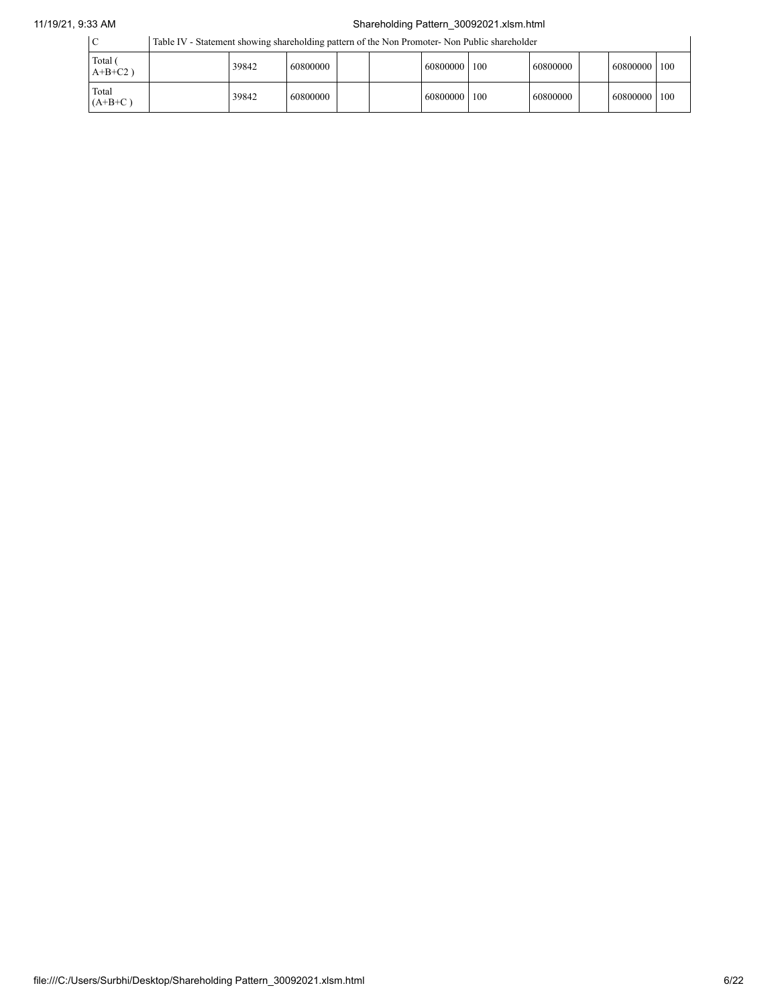## 11/19/21, 9:33 AM Shareholding Pattern\_30092021.xlsm.html

|                       | Table IV - Statement showing shareholding pattern of the Non Promoter- Non Public shareholder |          |  |  |                |  |          |  |          |      |
|-----------------------|-----------------------------------------------------------------------------------------------|----------|--|--|----------------|--|----------|--|----------|------|
| Total (<br>$A+B+C2$ ) | 39842                                                                                         | 60800000 |  |  | 60800000   100 |  | 60800000 |  | 60800000 | 100  |
| Total<br>$(A+B+C)$    | 39842                                                                                         | 60800000 |  |  | 60800000   100 |  | 60800000 |  | 60800000 | 1100 |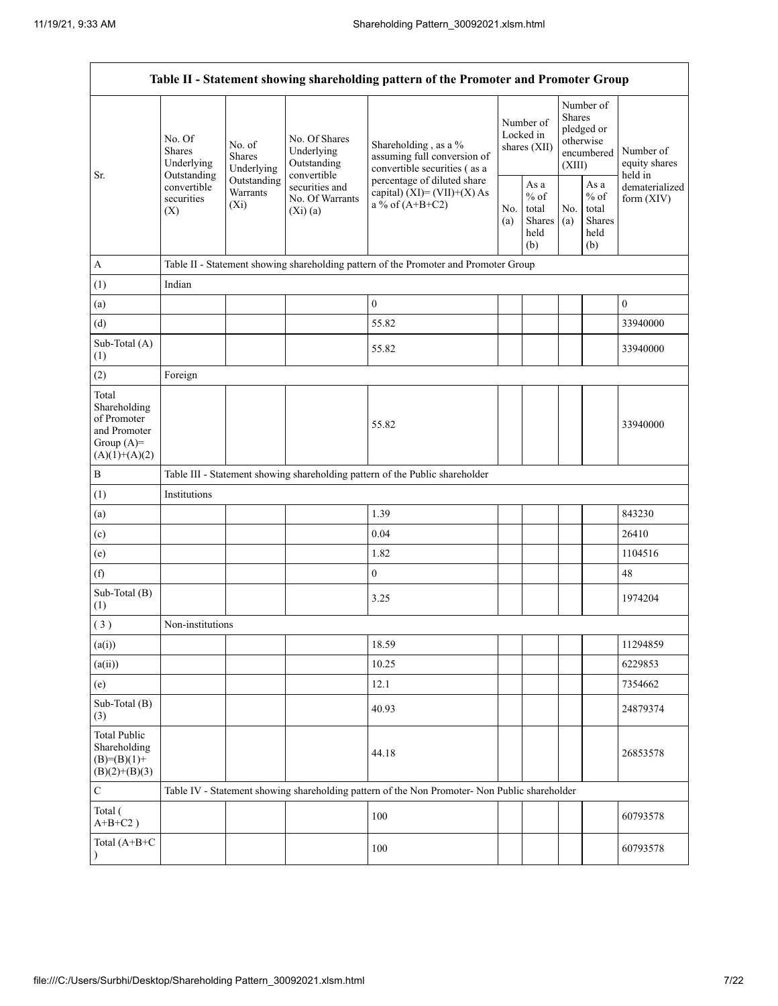| Table II - Statement showing shareholding pattern of the Promoter and Promoter Group    |                                               |                                       |                                                                                                           |                                                                                                                                                                           |                                        |                                                   |                                                                        |                                                  |                                       |
|-----------------------------------------------------------------------------------------|-----------------------------------------------|---------------------------------------|-----------------------------------------------------------------------------------------------------------|---------------------------------------------------------------------------------------------------------------------------------------------------------------------------|----------------------------------------|---------------------------------------------------|------------------------------------------------------------------------|--------------------------------------------------|---------------------------------------|
| Sr.                                                                                     | No. Of<br>Shares<br>Underlying<br>Outstanding | No. of<br><b>Shares</b><br>Underlying | No. Of Shares<br>Underlying<br>Outstanding<br>convertible<br>securities and<br>No. Of Warrants<br>(Xi)(a) | Shareholding, as a %<br>assuming full conversion of<br>convertible securities (as a<br>percentage of diluted share<br>capital) $(XI) = (VII)+(X) As$<br>a % of $(A+B+C2)$ | Number of<br>Locked in<br>shares (XII) |                                                   | Number of<br>Shares<br>pledged or<br>otherwise<br>encumbered<br>(XIII) |                                                  | Number of<br>equity shares<br>held in |
|                                                                                         | convertible<br>securities<br>(X)              | Outstanding<br>Warrants<br>$(X_i)$    |                                                                                                           |                                                                                                                                                                           | No.<br>(a)                             | As a<br>$\%$ of<br>total<br>Shares<br>held<br>(b) | No.<br>(a)                                                             | As a<br>$%$ of<br>total<br>Shares<br>held<br>(b) | dematerialized<br>form (XIV)          |
| $\mathbf{A}$                                                                            |                                               |                                       |                                                                                                           | Table II - Statement showing shareholding pattern of the Promoter and Promoter Group                                                                                      |                                        |                                                   |                                                                        |                                                  |                                       |
| (1)                                                                                     | Indian                                        |                                       |                                                                                                           |                                                                                                                                                                           |                                        |                                                   |                                                                        |                                                  |                                       |
| (a)                                                                                     |                                               |                                       |                                                                                                           | $\overline{0}$                                                                                                                                                            |                                        |                                                   |                                                                        |                                                  | $\mathbf{0}$                          |
| (d)                                                                                     |                                               |                                       |                                                                                                           | 55.82                                                                                                                                                                     |                                        |                                                   |                                                                        |                                                  | 33940000                              |
| Sub-Total (A)<br>(1)                                                                    |                                               |                                       |                                                                                                           | 55.82                                                                                                                                                                     |                                        |                                                   |                                                                        |                                                  | 33940000                              |
| (2)                                                                                     | Foreign                                       |                                       |                                                                                                           |                                                                                                                                                                           |                                        |                                                   |                                                                        |                                                  |                                       |
| Total<br>Shareholding<br>of Promoter<br>and Promoter<br>Group $(A)=$<br>$(A)(1)+(A)(2)$ |                                               |                                       |                                                                                                           | 55.82                                                                                                                                                                     |                                        |                                                   |                                                                        |                                                  | 33940000                              |
| $\, {\bf B}$                                                                            |                                               |                                       |                                                                                                           | Table III - Statement showing shareholding pattern of the Public shareholder                                                                                              |                                        |                                                   |                                                                        |                                                  |                                       |
| (1)                                                                                     | Institutions                                  |                                       |                                                                                                           |                                                                                                                                                                           |                                        |                                                   |                                                                        |                                                  |                                       |
| (a)                                                                                     |                                               |                                       |                                                                                                           | 1.39                                                                                                                                                                      |                                        |                                                   |                                                                        |                                                  | 843230                                |
| (c)                                                                                     |                                               |                                       |                                                                                                           | 0.04                                                                                                                                                                      |                                        |                                                   |                                                                        |                                                  | 26410                                 |
| (e)                                                                                     |                                               |                                       |                                                                                                           | 1.82                                                                                                                                                                      |                                        |                                                   |                                                                        |                                                  | 1104516                               |
| (f)                                                                                     |                                               |                                       |                                                                                                           | $\boldsymbol{0}$                                                                                                                                                          |                                        |                                                   |                                                                        |                                                  | 48                                    |
| Sub-Total (B)<br>(1)                                                                    |                                               |                                       |                                                                                                           | 3.25                                                                                                                                                                      |                                        |                                                   |                                                                        |                                                  | 1974204                               |
| (3)                                                                                     | Non-institutions                              |                                       |                                                                                                           |                                                                                                                                                                           |                                        |                                                   |                                                                        |                                                  |                                       |
| (a(i))                                                                                  |                                               |                                       |                                                                                                           | 18.59                                                                                                                                                                     |                                        |                                                   |                                                                        |                                                  | 11294859                              |
| (a(ii))                                                                                 |                                               |                                       |                                                                                                           | 10.25                                                                                                                                                                     |                                        |                                                   |                                                                        |                                                  | 6229853                               |
| (e)                                                                                     |                                               |                                       |                                                                                                           | 12.1                                                                                                                                                                      |                                        |                                                   |                                                                        |                                                  | 7354662                               |
| Sub-Total (B)<br>(3)                                                                    |                                               |                                       |                                                                                                           | 40.93                                                                                                                                                                     |                                        |                                                   |                                                                        |                                                  | 24879374                              |
| <b>Total Public</b><br>Shareholding<br>$(B)= (B)(1) +$<br>$(B)(2)+(B)(3)$               |                                               |                                       |                                                                                                           | 44.18                                                                                                                                                                     |                                        |                                                   |                                                                        |                                                  | 26853578                              |
| ${\bf C}$                                                                               |                                               |                                       |                                                                                                           | Table IV - Statement showing shareholding pattern of the Non Promoter- Non Public shareholder                                                                             |                                        |                                                   |                                                                        |                                                  |                                       |
| Total (<br>$A+B+C2$ )                                                                   |                                               |                                       |                                                                                                           | 100                                                                                                                                                                       |                                        |                                                   |                                                                        |                                                  | 60793578                              |
| Total (A+B+C                                                                            |                                               |                                       |                                                                                                           | 100                                                                                                                                                                       |                                        |                                                   |                                                                        |                                                  | 60793578                              |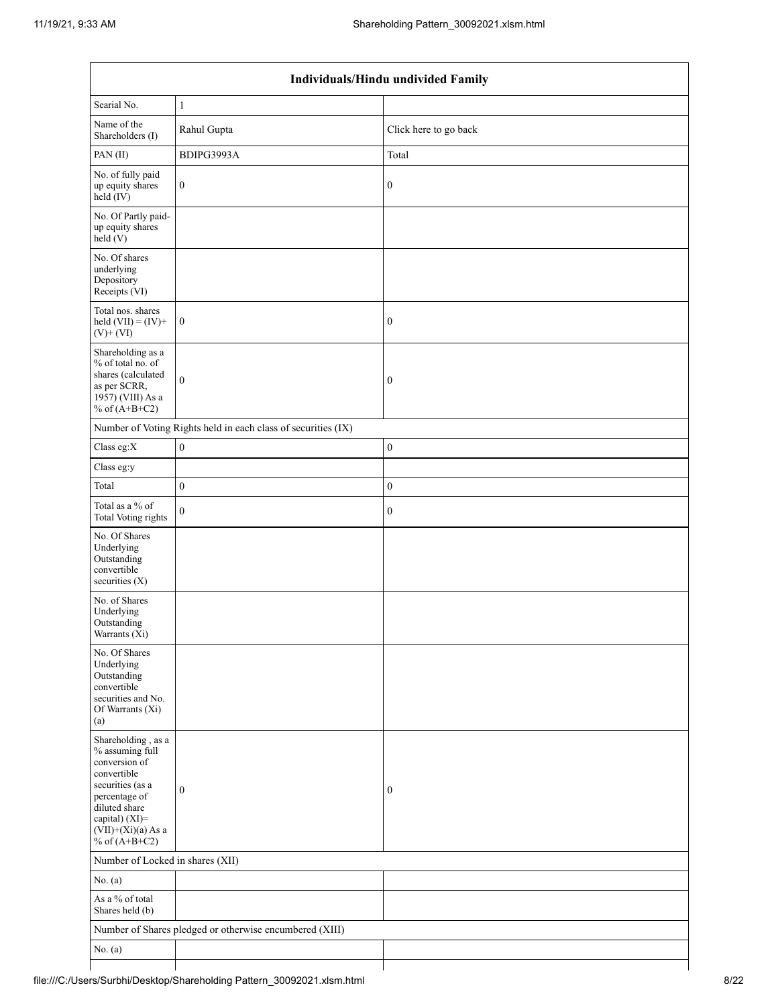| Individuals/Hindu undivided Family                                                                                                                                                       |                                                               |                       |  |  |  |  |  |
|------------------------------------------------------------------------------------------------------------------------------------------------------------------------------------------|---------------------------------------------------------------|-----------------------|--|--|--|--|--|
| Searial No.                                                                                                                                                                              | $\mathbf{1}$                                                  |                       |  |  |  |  |  |
| Name of the<br>Shareholders (I)                                                                                                                                                          | Rahul Gupta                                                   | Click here to go back |  |  |  |  |  |
| PAN(II)                                                                                                                                                                                  | BDIPG3993A                                                    | Total                 |  |  |  |  |  |
| No. of fully paid<br>up equity shares<br>$\text{held} (IV)$                                                                                                                              | $\boldsymbol{0}$                                              | $\boldsymbol{0}$      |  |  |  |  |  |
| No. Of Partly paid-<br>up equity shares<br>held $(V)$                                                                                                                                    |                                                               |                       |  |  |  |  |  |
| No. Of shares<br>underlying<br>Depository<br>Receipts (VI)                                                                                                                               |                                                               |                       |  |  |  |  |  |
| Total nos. shares<br>held $(VII) = (IV) +$<br>$(V)$ + $(VI)$                                                                                                                             | $\mathbf{0}$                                                  | $\boldsymbol{0}$      |  |  |  |  |  |
| Shareholding as a<br>% of total no. of<br>shares (calculated<br>as per SCRR,<br>1957) (VIII) As a<br>% of $(A+B+C2)$                                                                     | $\mathbf{0}$                                                  | $\boldsymbol{0}$      |  |  |  |  |  |
|                                                                                                                                                                                          | Number of Voting Rights held in each class of securities (IX) |                       |  |  |  |  |  |
| Class eg: $X$                                                                                                                                                                            | $\boldsymbol{0}$                                              | $\boldsymbol{0}$      |  |  |  |  |  |
| Class eg:y                                                                                                                                                                               |                                                               |                       |  |  |  |  |  |
| Total                                                                                                                                                                                    | $\boldsymbol{0}$                                              | $\boldsymbol{0}$      |  |  |  |  |  |
| Total as a % of<br>Total Voting rights                                                                                                                                                   | $\mathbf{0}$                                                  | $\boldsymbol{0}$      |  |  |  |  |  |
| No. Of Shares<br>Underlying<br>Outstanding<br>convertible<br>securities (X)                                                                                                              |                                                               |                       |  |  |  |  |  |
| No. of Shares<br>Underlying<br>Outstanding<br>Warrants (Xi)                                                                                                                              |                                                               |                       |  |  |  |  |  |
| No. Of Shares<br>Underlying<br>Outstanding<br>convertible<br>securities and No.<br>Of Warrants (Xi)<br>(a)                                                                               |                                                               |                       |  |  |  |  |  |
| Shareholding, as a<br>% assuming full<br>conversion of<br>convertible<br>securities (as a<br>percentage of<br>diluted share<br>capital) (XI)=<br>$(VII)+(Xi)(a)$ As a<br>% of $(A+B+C2)$ | $\mathbf{0}$                                                  | $\bf{0}$              |  |  |  |  |  |
| Number of Locked in shares (XII)                                                                                                                                                         |                                                               |                       |  |  |  |  |  |
| No. $(a)$                                                                                                                                                                                |                                                               |                       |  |  |  |  |  |
| As a % of total<br>Shares held (b)                                                                                                                                                       |                                                               |                       |  |  |  |  |  |
|                                                                                                                                                                                          | Number of Shares pledged or otherwise encumbered (XIII)       |                       |  |  |  |  |  |
| No. (a)                                                                                                                                                                                  |                                                               |                       |  |  |  |  |  |
|                                                                                                                                                                                          |                                                               |                       |  |  |  |  |  |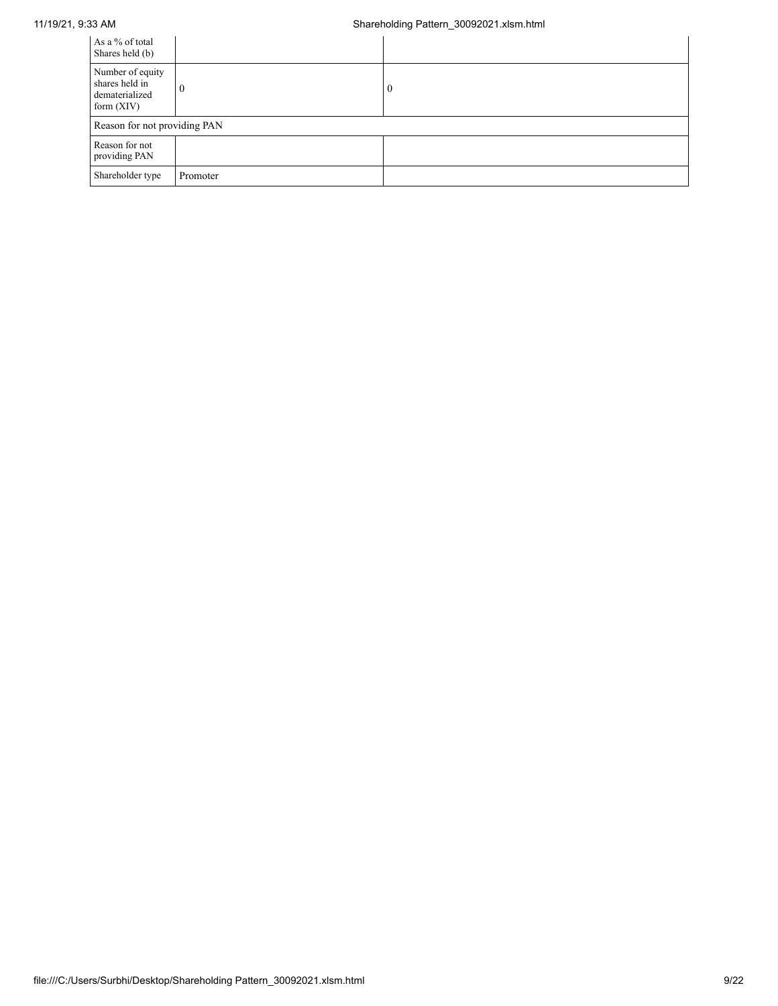11/19/21, 9:33 AM Shareholding Pattern\_30092021.xlsm.html

| As a % of total<br>Shares held (b)                                   |              |          |
|----------------------------------------------------------------------|--------------|----------|
| Number of equity<br>shares held in<br>dematerialized<br>form $(XIV)$ | $\mathbf{0}$ | $\bf{0}$ |
| Reason for not providing PAN                                         |              |          |
| Reason for not<br>providing PAN                                      |              |          |
| Shareholder type                                                     | Promoter     |          |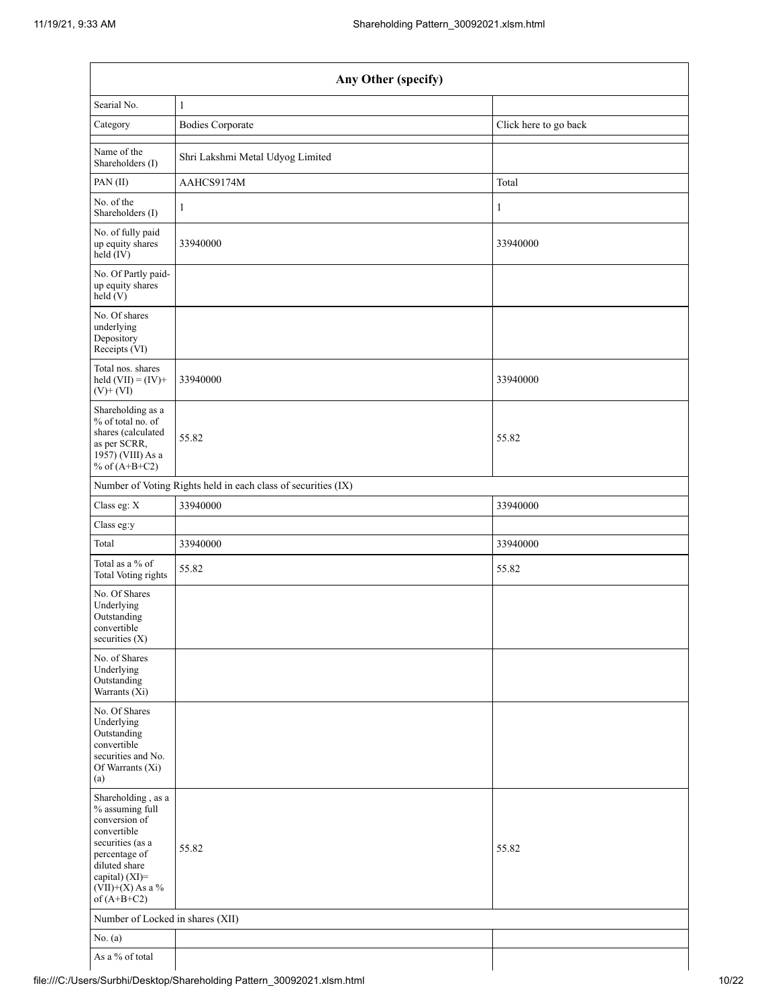| Any Other (specify)                                                                                                                                                                  |                                                               |                       |  |  |  |  |  |
|--------------------------------------------------------------------------------------------------------------------------------------------------------------------------------------|---------------------------------------------------------------|-----------------------|--|--|--|--|--|
| Searial No.                                                                                                                                                                          | $\mathbf{1}$                                                  |                       |  |  |  |  |  |
| Category                                                                                                                                                                             | <b>Bodies Corporate</b>                                       | Click here to go back |  |  |  |  |  |
| Name of the<br>Shareholders (I)                                                                                                                                                      | Shri Lakshmi Metal Udyog Limited                              |                       |  |  |  |  |  |
| PAN(II)                                                                                                                                                                              | AAHCS9174M                                                    | Total                 |  |  |  |  |  |
| No. of the<br>Shareholders (I)                                                                                                                                                       | 1                                                             | 1                     |  |  |  |  |  |
| No. of fully paid<br>up equity shares<br>$held$ (IV)                                                                                                                                 | 33940000                                                      | 33940000              |  |  |  |  |  |
| No. Of Partly paid-<br>up equity shares<br>held(V)                                                                                                                                   |                                                               |                       |  |  |  |  |  |
| No. Of shares<br>underlying<br>Depository<br>Receipts (VI)                                                                                                                           |                                                               |                       |  |  |  |  |  |
| Total nos. shares<br>held $(VII) = (IV) +$<br>$(V)$ + $(VI)$                                                                                                                         | 33940000                                                      | 33940000              |  |  |  |  |  |
| Shareholding as a<br>% of total no. of<br>shares (calculated<br>as per SCRR,<br>1957) (VIII) As a<br>% of $(A+B+C2)$                                                                 | 55.82                                                         | 55.82                 |  |  |  |  |  |
|                                                                                                                                                                                      | Number of Voting Rights held in each class of securities (IX) |                       |  |  |  |  |  |
| Class eg: X                                                                                                                                                                          | 33940000                                                      | 33940000              |  |  |  |  |  |
| Class eg:y                                                                                                                                                                           |                                                               |                       |  |  |  |  |  |
| Total                                                                                                                                                                                | 33940000                                                      | 33940000              |  |  |  |  |  |
| Total as a % of<br>Total Voting rights                                                                                                                                               | 55.82                                                         | 55.82                 |  |  |  |  |  |
| No. Of Shares<br>Underlying<br>Outstanding<br>convertible<br>securities $(X)$                                                                                                        |                                                               |                       |  |  |  |  |  |
| No. of Shares<br>Underlying<br>Outstanding<br>Warrants (Xi)                                                                                                                          |                                                               |                       |  |  |  |  |  |
| No. Of Shares<br>Underlying<br>Outstanding<br>convertible<br>securities and No.<br>Of Warrants (Xi)<br>(a)                                                                           |                                                               |                       |  |  |  |  |  |
| Shareholding, as a<br>% assuming full<br>conversion of<br>convertible<br>securities (as a<br>percentage of<br>diluted share<br>capital) (XI)=<br>$(VII)+(X)$ As a %<br>of $(A+B+C2)$ | 55.82                                                         | 55.82                 |  |  |  |  |  |
| Number of Locked in shares (XII)                                                                                                                                                     |                                                               |                       |  |  |  |  |  |
| No. $(a)$                                                                                                                                                                            |                                                               |                       |  |  |  |  |  |
| As a % of total                                                                                                                                                                      |                                                               |                       |  |  |  |  |  |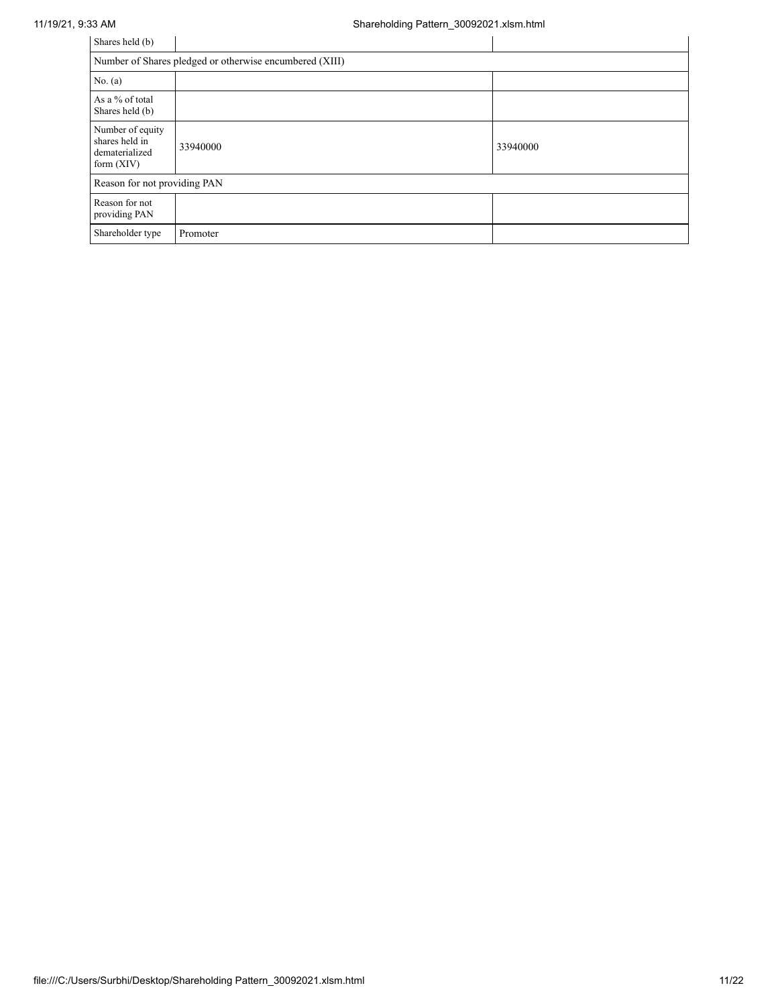| Shares held (b)                                                      |                              |          |  |  |  |  |  |
|----------------------------------------------------------------------|------------------------------|----------|--|--|--|--|--|
| Number of Shares pledged or otherwise encumbered (XIII)              |                              |          |  |  |  |  |  |
| No. $(a)$                                                            |                              |          |  |  |  |  |  |
| As a % of total<br>Shares held (b)                                   |                              |          |  |  |  |  |  |
| Number of equity<br>shares held in<br>dematerialized<br>form $(XIV)$ | 33940000                     | 33940000 |  |  |  |  |  |
|                                                                      | Reason for not providing PAN |          |  |  |  |  |  |
| Reason for not<br>providing PAN                                      |                              |          |  |  |  |  |  |
| Shareholder type                                                     | Promoter                     |          |  |  |  |  |  |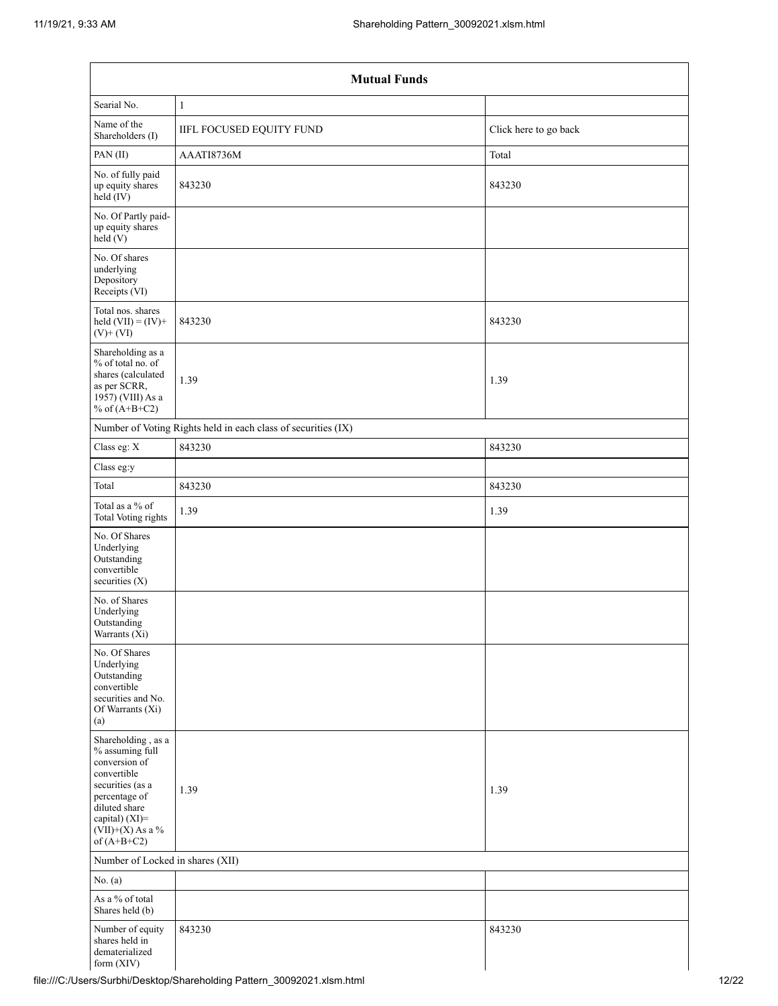|                                                                                                                                                                                      | <b>Mutual Funds</b>                                           |                       |  |  |  |  |  |  |
|--------------------------------------------------------------------------------------------------------------------------------------------------------------------------------------|---------------------------------------------------------------|-----------------------|--|--|--|--|--|--|
| Searial No.                                                                                                                                                                          | $\mathbf{1}$                                                  |                       |  |  |  |  |  |  |
| Name of the<br>Shareholders (I)                                                                                                                                                      | IIFL FOCUSED EQUITY FUND                                      | Click here to go back |  |  |  |  |  |  |
| PAN(II)                                                                                                                                                                              | AAATI8736M                                                    | Total                 |  |  |  |  |  |  |
| No. of fully paid<br>up equity shares<br>$held$ (IV)                                                                                                                                 | 843230                                                        | 843230                |  |  |  |  |  |  |
| No. Of Partly paid-<br>up equity shares<br>held(V)                                                                                                                                   |                                                               |                       |  |  |  |  |  |  |
| No. Of shares<br>underlying<br>Depository<br>Receipts (VI)                                                                                                                           |                                                               |                       |  |  |  |  |  |  |
| Total nos. shares<br>held $(VII) = (IV) +$<br>$(V)$ + $(VI)$                                                                                                                         | 843230                                                        | 843230                |  |  |  |  |  |  |
| Shareholding as a<br>% of total no. of<br>shares (calculated<br>as per SCRR,<br>$1957$ ) (VIII) As a<br>% of $(A+B+C2)$                                                              | 1.39                                                          | 1.39                  |  |  |  |  |  |  |
|                                                                                                                                                                                      | Number of Voting Rights held in each class of securities (IX) |                       |  |  |  |  |  |  |
| Class eg: X                                                                                                                                                                          | 843230                                                        | 843230                |  |  |  |  |  |  |
| Class eg:y                                                                                                                                                                           |                                                               |                       |  |  |  |  |  |  |
| Total                                                                                                                                                                                | 843230                                                        | 843230                |  |  |  |  |  |  |
| Total as a % of<br>Total Voting rights                                                                                                                                               | 1.39                                                          | 1.39                  |  |  |  |  |  |  |
| No. Of Shares<br>Underlying<br>Outstanding<br>convertible<br>securities $(X)$                                                                                                        |                                                               |                       |  |  |  |  |  |  |
| No. of Shares<br>Underlying<br>Outstanding<br>Warrants (Xi)                                                                                                                          |                                                               |                       |  |  |  |  |  |  |
| No. Of Shares<br>Underlying<br>Outstanding<br>convertible<br>securities and No.<br>Of Warrants (Xi)<br>(a)                                                                           |                                                               |                       |  |  |  |  |  |  |
| Shareholding, as a<br>% assuming full<br>conversion of<br>convertible<br>securities (as a<br>percentage of<br>diluted share<br>capital) (XI)=<br>$(VII)+(X)$ As a %<br>of $(A+B+C2)$ | 1.39                                                          | 1.39                  |  |  |  |  |  |  |
| Number of Locked in shares (XII)                                                                                                                                                     |                                                               |                       |  |  |  |  |  |  |
| No. (a)                                                                                                                                                                              |                                                               |                       |  |  |  |  |  |  |
| As a % of total<br>Shares held (b)                                                                                                                                                   |                                                               |                       |  |  |  |  |  |  |
| Number of equity<br>shares held in<br>dematerialized<br>form (XIV)                                                                                                                   | 843230                                                        | 843230                |  |  |  |  |  |  |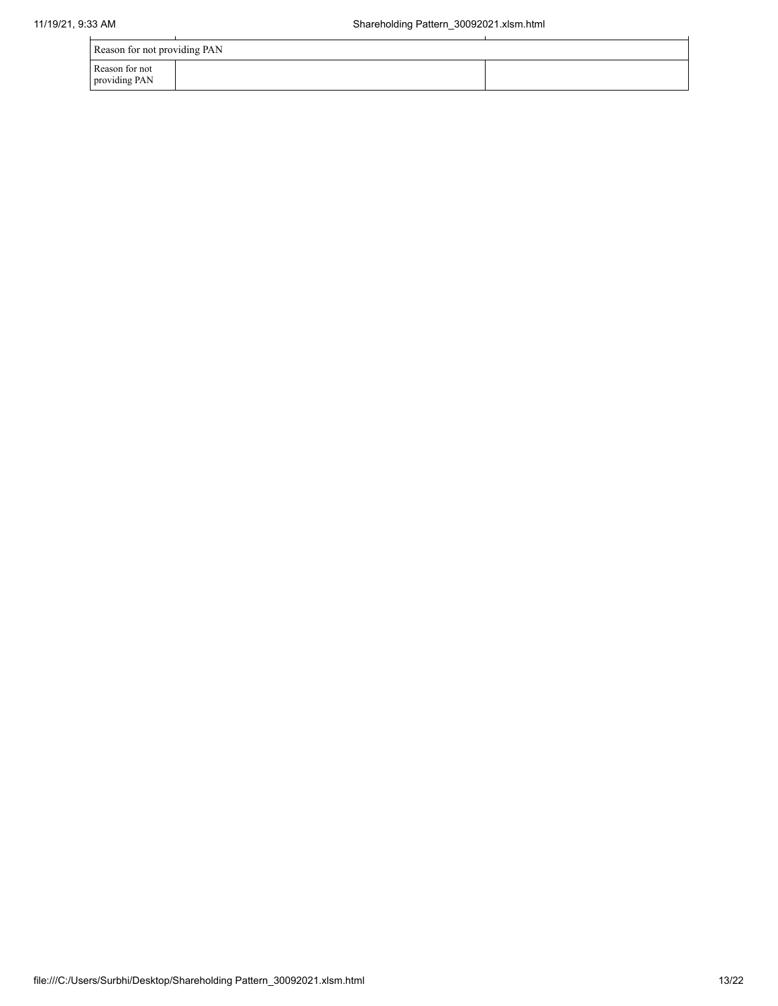| Reason for not providing PAN    |  |  |  |  |
|---------------------------------|--|--|--|--|
| Reason for not<br>providing PAN |  |  |  |  |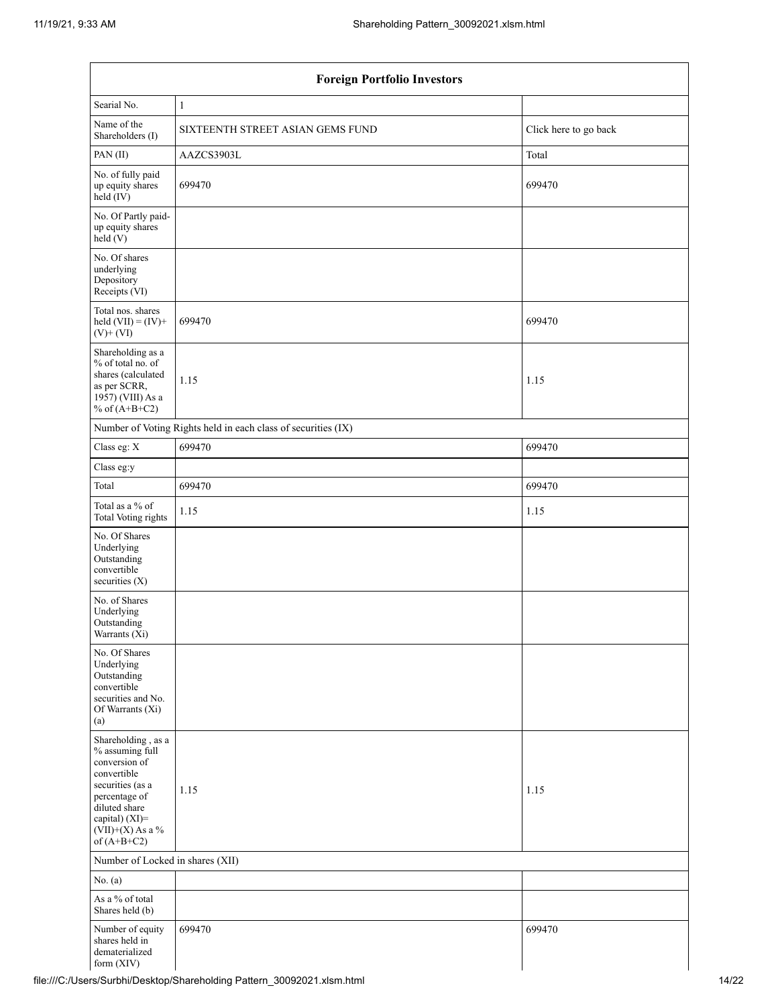| <b>Foreign Portfolio Investors</b>                                                                                                                                                   |                                                               |                       |  |  |  |
|--------------------------------------------------------------------------------------------------------------------------------------------------------------------------------------|---------------------------------------------------------------|-----------------------|--|--|--|
| Searial No.                                                                                                                                                                          | $\mathbf{1}$                                                  |                       |  |  |  |
| Name of the<br>Shareholders (I)                                                                                                                                                      | SIXTEENTH STREET ASIAN GEMS FUND                              | Click here to go back |  |  |  |
| PAN(II)                                                                                                                                                                              | AAZCS3903L                                                    | Total                 |  |  |  |
| No. of fully paid<br>up equity shares<br>held (IV)                                                                                                                                   | 699470                                                        | 699470                |  |  |  |
| No. Of Partly paid-<br>up equity shares<br>held(V)                                                                                                                                   |                                                               |                       |  |  |  |
| No. Of shares<br>underlying<br>Depository<br>Receipts (VI)                                                                                                                           |                                                               |                       |  |  |  |
| Total nos. shares<br>held $(VII) = (IV) +$<br>$(V)$ + $(VI)$                                                                                                                         | 699470                                                        | 699470                |  |  |  |
| Shareholding as a<br>% of total no. of<br>shares (calculated<br>as per SCRR,<br>1957) (VIII) As a<br>% of $(A+B+C2)$                                                                 | 1.15                                                          | 1.15                  |  |  |  |
|                                                                                                                                                                                      | Number of Voting Rights held in each class of securities (IX) |                       |  |  |  |
| Class eg: X                                                                                                                                                                          | 699470                                                        | 699470                |  |  |  |
| Class eg:y                                                                                                                                                                           |                                                               |                       |  |  |  |
| Total                                                                                                                                                                                | 699470                                                        | 699470                |  |  |  |
| Total as a % of<br>Total Voting rights                                                                                                                                               | 1.15                                                          | 1.15                  |  |  |  |
| No. Of Shares<br>Underlying<br>Outstanding<br>convertible<br>securities $(X)$                                                                                                        |                                                               |                       |  |  |  |
| No. of Shares<br>Underlying<br>Outstanding<br>Warrants $(Xi)$                                                                                                                        |                                                               |                       |  |  |  |
| No. Of Shares<br>Underlying<br>Outstanding<br>convertible<br>securities and No.<br>Of Warrants (Xi)<br>(a)                                                                           |                                                               |                       |  |  |  |
| Shareholding, as a<br>% assuming full<br>conversion of<br>convertible<br>securities (as a<br>percentage of<br>diluted share<br>capital) (XI)=<br>$(VII)+(X)$ As a %<br>of $(A+B+C2)$ | 1.15                                                          | 1.15                  |  |  |  |
| Number of Locked in shares (XII)                                                                                                                                                     |                                                               |                       |  |  |  |
| No. (a)                                                                                                                                                                              |                                                               |                       |  |  |  |
| As a % of total<br>Shares held (b)                                                                                                                                                   |                                                               |                       |  |  |  |
| Number of equity<br>shares held in<br>dematerialized<br>form (XIV)                                                                                                                   | 699470                                                        | 699470                |  |  |  |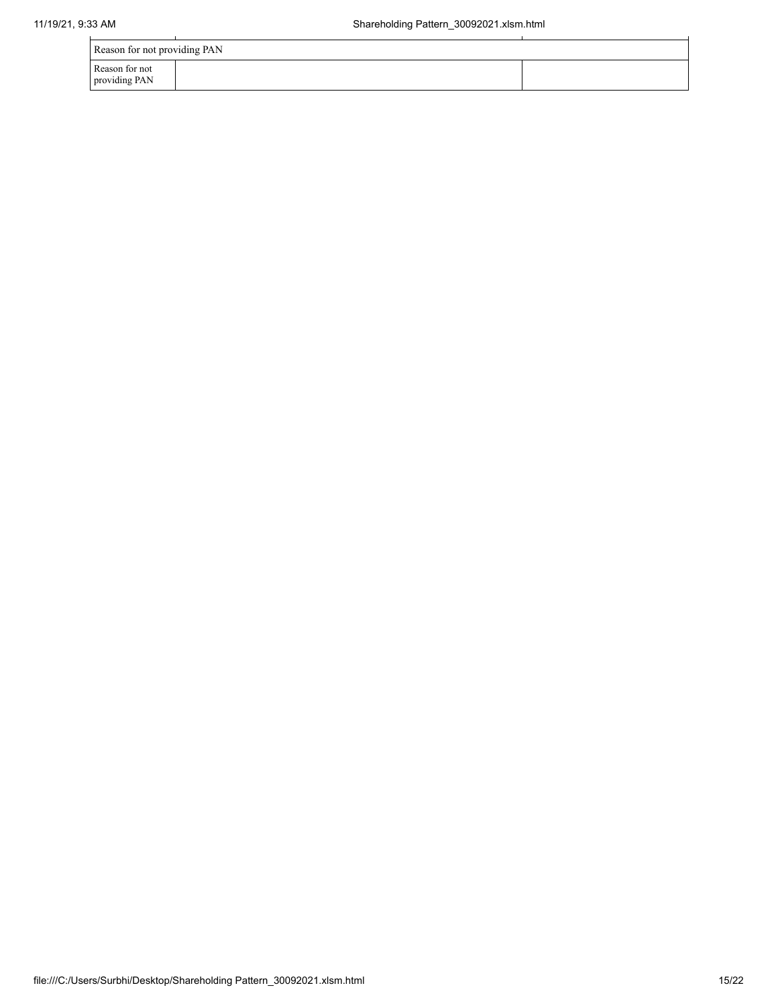| Reason for not providing PAN    |  |
|---------------------------------|--|
| Reason for not<br>providing PAN |  |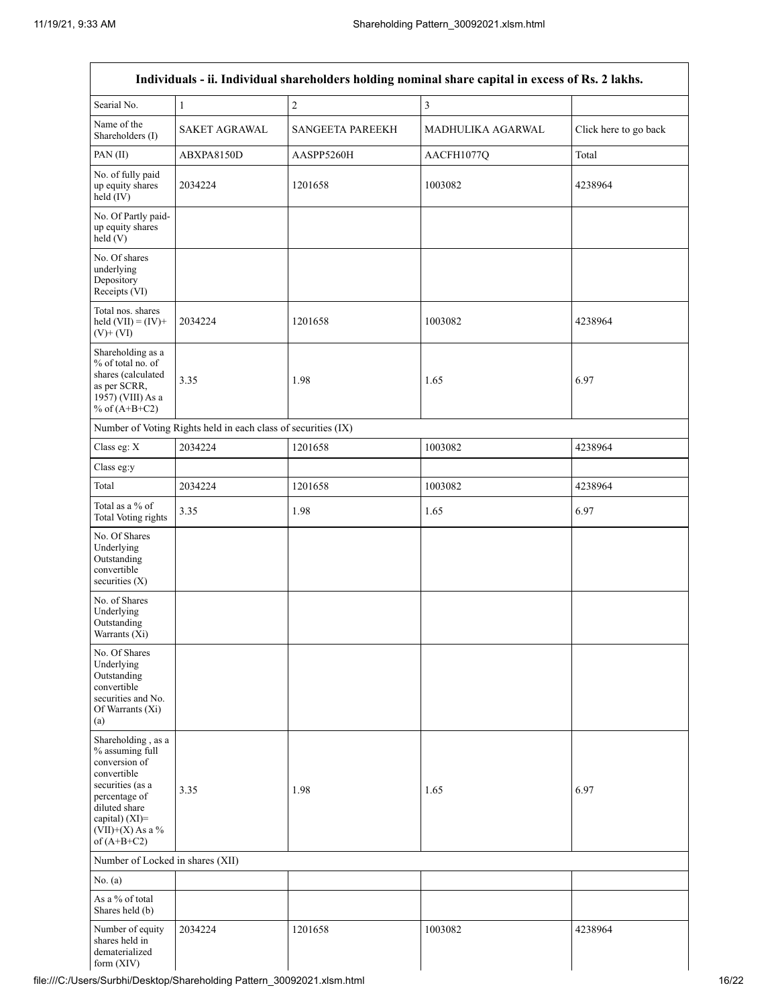|                                                                                                                                                                                         |                                                               |                         | Individuals - ii. Individual shareholders holding nominal share capital in excess of Rs. 2 lakhs. |                       |
|-----------------------------------------------------------------------------------------------------------------------------------------------------------------------------------------|---------------------------------------------------------------|-------------------------|---------------------------------------------------------------------------------------------------|-----------------------|
| Searial No.                                                                                                                                                                             | $\mathbf{1}$                                                  | $\sqrt{2}$              | 3                                                                                                 |                       |
| Name of the<br>Shareholders (I)                                                                                                                                                         | <b>SAKET AGRAWAL</b>                                          | <b>SANGEETA PAREEKH</b> | MADHULIKA AGARWAL                                                                                 | Click here to go back |
| PAN(II)                                                                                                                                                                                 | ABXPA8150D                                                    | AASPP5260H              | AACFH1077Q                                                                                        | Total                 |
| No. of fully paid<br>up equity shares<br>held (IV)                                                                                                                                      | 2034224                                                       | 1201658                 | 1003082                                                                                           | 4238964               |
| No. Of Partly paid-<br>up equity shares<br>held(V)                                                                                                                                      |                                                               |                         |                                                                                                   |                       |
| No. Of shares<br>underlying<br>Depository<br>Receipts (VI)                                                                                                                              |                                                               |                         |                                                                                                   |                       |
| Total nos. shares<br>held $(VII) = (IV) +$<br>$(V)$ + $(VI)$                                                                                                                            | 2034224                                                       | 1201658                 | 1003082                                                                                           | 4238964               |
| Shareholding as a<br>% of total no. of<br>shares (calculated<br>as per SCRR,<br>1957) (VIII) As a<br>% of $(A+B+C2)$                                                                    | 3.35                                                          | 1.98                    | 1.65                                                                                              | 6.97                  |
|                                                                                                                                                                                         | Number of Voting Rights held in each class of securities (IX) |                         |                                                                                                   |                       |
| Class eg: X                                                                                                                                                                             | 2034224                                                       | 1201658                 | 1003082                                                                                           | 4238964               |
| Class eg:y                                                                                                                                                                              |                                                               |                         |                                                                                                   |                       |
| Total                                                                                                                                                                                   | 2034224                                                       | 1201658                 | 1003082                                                                                           | 4238964               |
| Total as a % of<br>Total Voting rights                                                                                                                                                  | 3.35                                                          | 1.98                    | 1.65                                                                                              | 6.97                  |
| No. Of Shares<br>Underlying<br>Outstanding<br>convertible<br>securities $(X)$                                                                                                           |                                                               |                         |                                                                                                   |                       |
| No. of Shares<br>Underlying<br>Outstanding<br>Warrants (Xi)                                                                                                                             |                                                               |                         |                                                                                                   |                       |
| No. Of Shares<br>Underlying<br>Outstanding<br>convertible<br>securities and No.<br>Of Warrants (Xi)<br>(a)                                                                              |                                                               |                         |                                                                                                   |                       |
| Shareholding, as a<br>% assuming full<br>conversion of<br>convertible<br>securities (as a<br>percentage of<br>diluted share<br>capital) $(XI)$ =<br>$(VII)+(X)$ As a %<br>of $(A+B+C2)$ | 3.35                                                          | 1.98                    | 1.65                                                                                              | 6.97                  |
| Number of Locked in shares (XII)                                                                                                                                                        |                                                               |                         |                                                                                                   |                       |
| No. (a)                                                                                                                                                                                 |                                                               |                         |                                                                                                   |                       |
| As a % of total<br>Shares held (b)                                                                                                                                                      |                                                               |                         |                                                                                                   |                       |
| Number of equity<br>shares held in<br>dematerialized<br>form $(XIV)$                                                                                                                    | 2034224                                                       | 1201658                 | 1003082                                                                                           | 4238964               |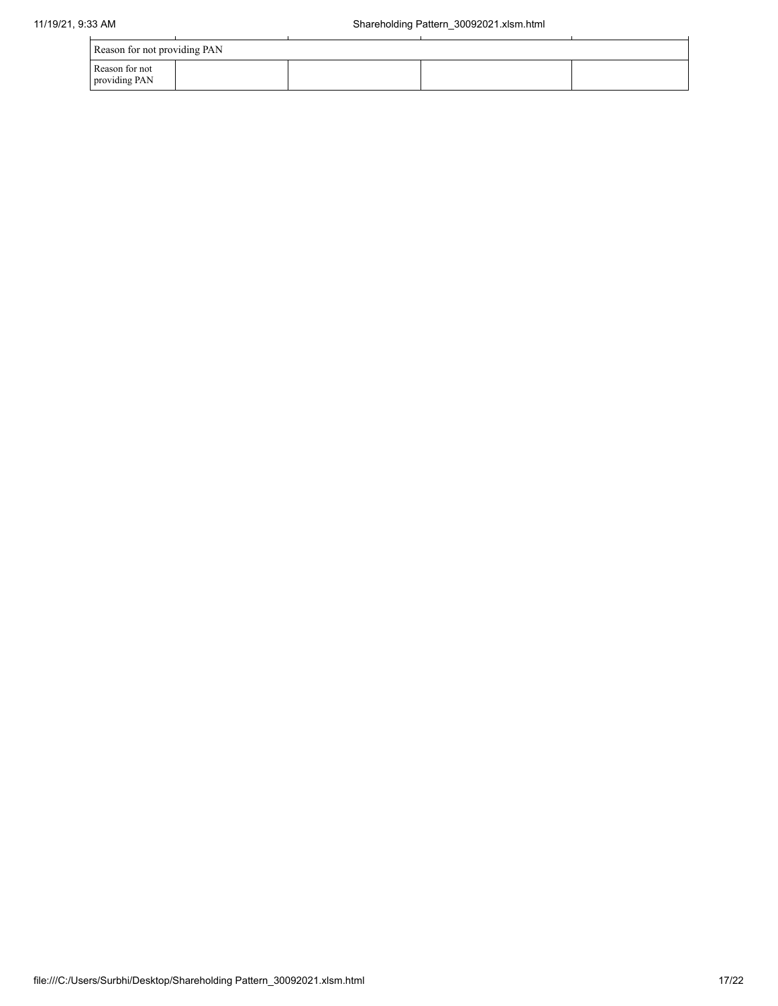|                                 | Reason for not providing PAN |  |  |  |  |
|---------------------------------|------------------------------|--|--|--|--|
| Reason for not<br>providing PAN |                              |  |  |  |  |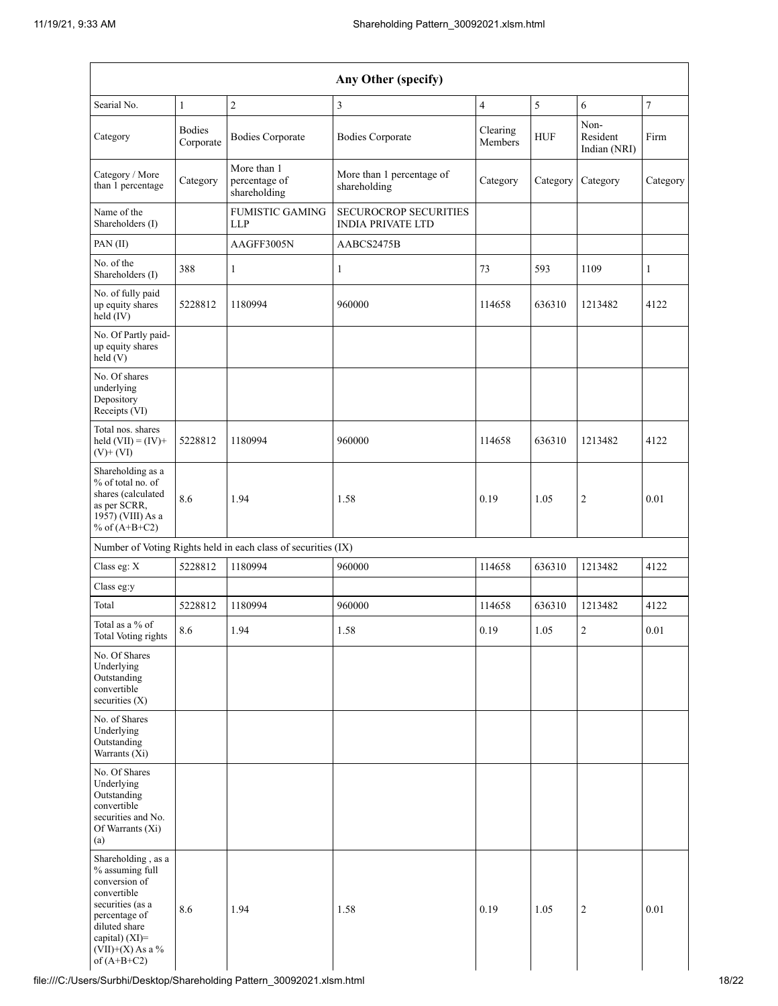| Any Other (specify)                                                                                                                                                                  |                            |                                                               |                                                   |                          |            |                                  |          |
|--------------------------------------------------------------------------------------------------------------------------------------------------------------------------------------|----------------------------|---------------------------------------------------------------|---------------------------------------------------|--------------------------|------------|----------------------------------|----------|
| Searial No.                                                                                                                                                                          | $\mathbf{1}$               | $\mathbf{2}$                                                  | 3                                                 | $\overline{\mathcal{L}}$ | 5          | 6                                | 7        |
| Category                                                                                                                                                                             | <b>Bodies</b><br>Corporate | <b>Bodies Corporate</b>                                       | <b>Bodies Corporate</b>                           | Clearing<br>Members      | <b>HUF</b> | Non-<br>Resident<br>Indian (NRI) | Firm     |
| Category / More<br>than 1 percentage                                                                                                                                                 | Category                   | More than 1<br>percentage of<br>shareholding                  | More than 1 percentage of<br>shareholding         | Category                 | Category   | Category                         | Category |
| Name of the<br>Shareholders (I)                                                                                                                                                      |                            | <b>FUMISTIC GAMING</b><br><b>LLP</b>                          | SECUROCROP SECURITIES<br><b>INDIA PRIVATE LTD</b> |                          |            |                                  |          |
| PAN(II)                                                                                                                                                                              |                            | AAGFF3005N                                                    | AABCS2475B                                        |                          |            |                                  |          |
| No. of the<br>Shareholders (I)                                                                                                                                                       | 388                        | $\mathbf{1}$                                                  | 1                                                 | 73                       | 593        | 1109                             | 1        |
| No. of fully paid<br>up equity shares<br>held (IV)                                                                                                                                   | 5228812                    | 1180994                                                       | 960000                                            | 114658                   | 636310     | 1213482                          | 4122     |
| No. Of Partly paid-<br>up equity shares<br>held(V)                                                                                                                                   |                            |                                                               |                                                   |                          |            |                                  |          |
| No. Of shares<br>underlying<br>Depository<br>Receipts (VI)                                                                                                                           |                            |                                                               |                                                   |                          |            |                                  |          |
| Total nos. shares<br>held $(VII) = (IV) +$<br>$(V)$ + $(VI)$                                                                                                                         | 5228812                    | 1180994                                                       | 960000                                            | 114658                   | 636310     | 1213482                          | 4122     |
| Shareholding as a<br>% of total no. of<br>shares (calculated<br>as per SCRR,<br>1957) (VIII) As a<br>% of $(A+B+C2)$                                                                 | 8.6                        | 1.94                                                          | 1.58                                              | 0.19                     | 1.05       | $\overline{2}$                   | 0.01     |
|                                                                                                                                                                                      |                            | Number of Voting Rights held in each class of securities (IX) |                                                   |                          |            |                                  |          |
| Class eg: X                                                                                                                                                                          | 5228812                    | 1180994                                                       | 960000                                            | 114658                   | 636310     | 1213482                          | 4122     |
| Class eg:y                                                                                                                                                                           |                            |                                                               |                                                   |                          |            |                                  |          |
| Total                                                                                                                                                                                | 5228812                    | 1180994                                                       | 960000                                            | 114658                   | 636310     | 1213482                          | 4122     |
| Total as a % of<br>Total Voting rights                                                                                                                                               | $8.6\,$                    | 1.94                                                          | 1.58                                              | 0.19                     | 1.05       | $\overline{2}$                   | 0.01     |
| No. Of Shares<br>Underlying<br>Outstanding<br>convertible<br>securities $(X)$                                                                                                        |                            |                                                               |                                                   |                          |            |                                  |          |
| No. of Shares<br>Underlying<br>Outstanding<br>Warrants (Xi)                                                                                                                          |                            |                                                               |                                                   |                          |            |                                  |          |
| No. Of Shares<br>Underlying<br>Outstanding<br>convertible<br>securities and No.<br>Of Warrants (Xi)<br>(a)                                                                           |                            |                                                               |                                                   |                          |            |                                  |          |
| Shareholding, as a<br>% assuming full<br>conversion of<br>convertible<br>securities (as a<br>percentage of<br>diluted share<br>capital) (XI)=<br>$(VII)+(X)$ As a %<br>of $(A+B+C2)$ | 8.6                        | 1.94                                                          | 1.58                                              | 0.19                     | 1.05       | $\sqrt{2}$                       | 0.01     |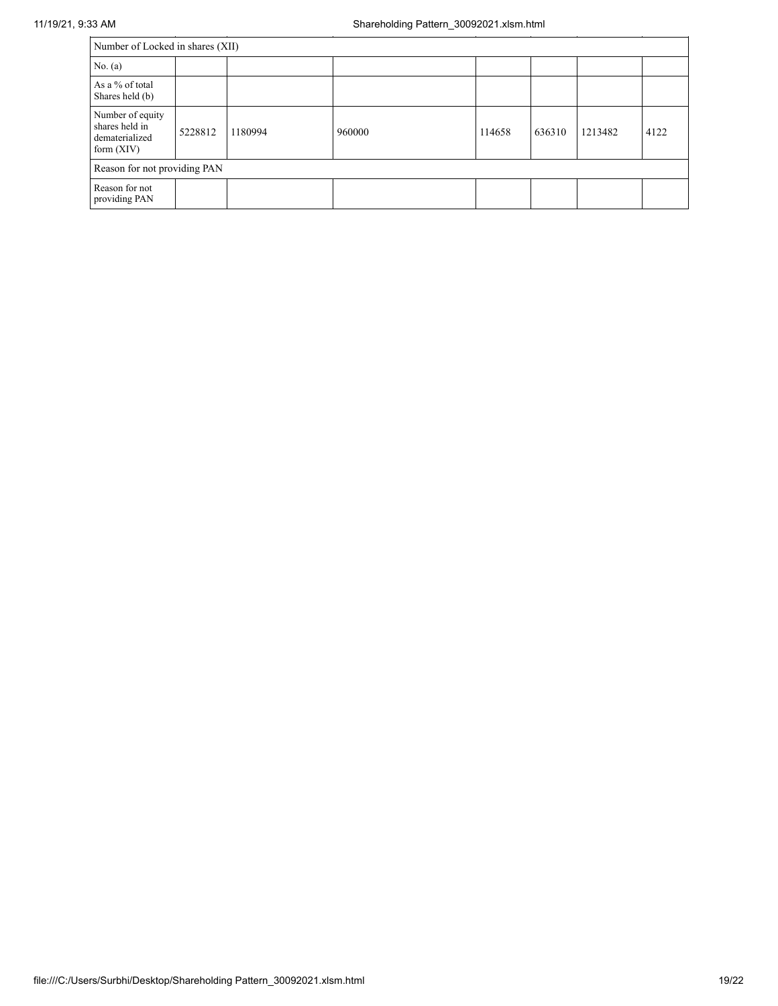| Number of Locked in shares (XII)                                     |         |         |        |        |        |         |      |
|----------------------------------------------------------------------|---------|---------|--------|--------|--------|---------|------|
| No. (a)                                                              |         |         |        |        |        |         |      |
| As a % of total<br>Shares held (b)                                   |         |         |        |        |        |         |      |
| Number of equity<br>shares held in<br>dematerialized<br>form $(XIV)$ | 5228812 | 1180994 | 960000 | 114658 | 636310 | 1213482 | 4122 |
| Reason for not providing PAN                                         |         |         |        |        |        |         |      |
| Reason for not<br>providing PAN                                      |         |         |        |        |        |         |      |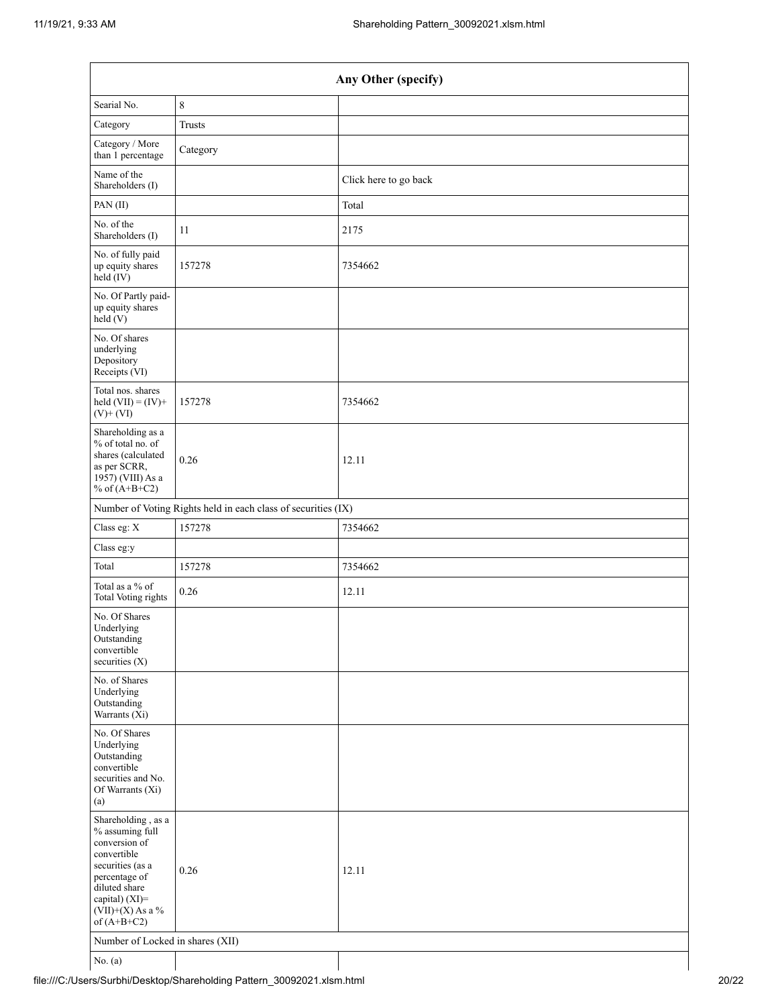|                                                                                                                                                                                      |                                                               | Any Other (specify)   |
|--------------------------------------------------------------------------------------------------------------------------------------------------------------------------------------|---------------------------------------------------------------|-----------------------|
| Searial No.                                                                                                                                                                          | $\,$ 8 $\,$                                                   |                       |
| Category                                                                                                                                                                             | <b>Trusts</b>                                                 |                       |
| Category / More<br>than 1 percentage                                                                                                                                                 | Category                                                      |                       |
| Name of the<br>Shareholders (I)                                                                                                                                                      |                                                               | Click here to go back |
| PAN(II)                                                                                                                                                                              |                                                               | Total                 |
| No. of the<br>Shareholders (I)                                                                                                                                                       | 11                                                            | 2175                  |
| No. of fully paid<br>up equity shares<br>held (IV)                                                                                                                                   | 157278                                                        | 7354662               |
| No. Of Partly paid-<br>up equity shares<br>held (V)                                                                                                                                  |                                                               |                       |
| No. Of shares<br>underlying<br>Depository<br>Receipts (VI)                                                                                                                           |                                                               |                       |
| Total nos. shares<br>held $(VII) = (IV) +$<br>$(V)$ + $(VI)$                                                                                                                         | 157278                                                        | 7354662               |
| Shareholding as a<br>% of total no. of<br>shares (calculated<br>as per SCRR,<br>1957) (VIII) As a<br>% of $(A+B+C2)$                                                                 | 0.26                                                          | 12.11                 |
|                                                                                                                                                                                      | Number of Voting Rights held in each class of securities (IX) |                       |
| Class eg: X                                                                                                                                                                          | 157278                                                        | 7354662               |
| Class eg:y                                                                                                                                                                           |                                                               |                       |
| Total                                                                                                                                                                                | 157278                                                        | 7354662               |
| Total as a % of<br>Total Voting rights                                                                                                                                               | 0.26                                                          | 12.11                 |
| No. Of Shares<br>Underlying<br>Outstanding<br>convertible<br>securities $(X)$                                                                                                        |                                                               |                       |
| No. of Shares<br>Underlying<br>Outstanding<br>Warrants $(X_i)$                                                                                                                       |                                                               |                       |
| No. Of Shares<br>Underlying<br>Outstanding<br>convertible<br>securities and No.<br>Of Warrants (Xi)<br>(a)                                                                           |                                                               |                       |
| Shareholding, as a<br>% assuming full<br>conversion of<br>convertible<br>securities (as a<br>percentage of<br>diluted share<br>capital) (XI)=<br>$(VII)+(X)$ As a %<br>of $(A+B+C2)$ | 0.26                                                          | 12.11                 |
| Number of Locked in shares (XII)                                                                                                                                                     |                                                               |                       |
| No. $(a)$                                                                                                                                                                            |                                                               |                       |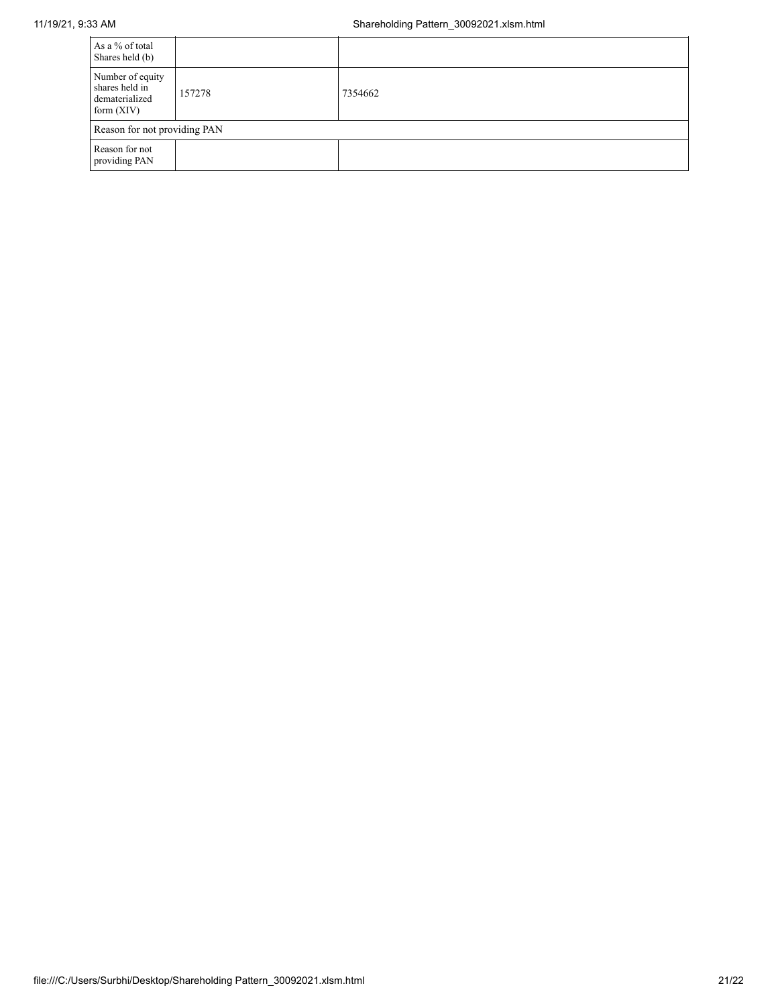| As a % of total<br>Shares held (b)                                   |        |         |  |  |
|----------------------------------------------------------------------|--------|---------|--|--|
| Number of equity<br>shares held in<br>dematerialized<br>form $(XIV)$ | 157278 | 7354662 |  |  |
| Reason for not providing PAN                                         |        |         |  |  |
| Reason for not<br>providing PAN                                      |        |         |  |  |